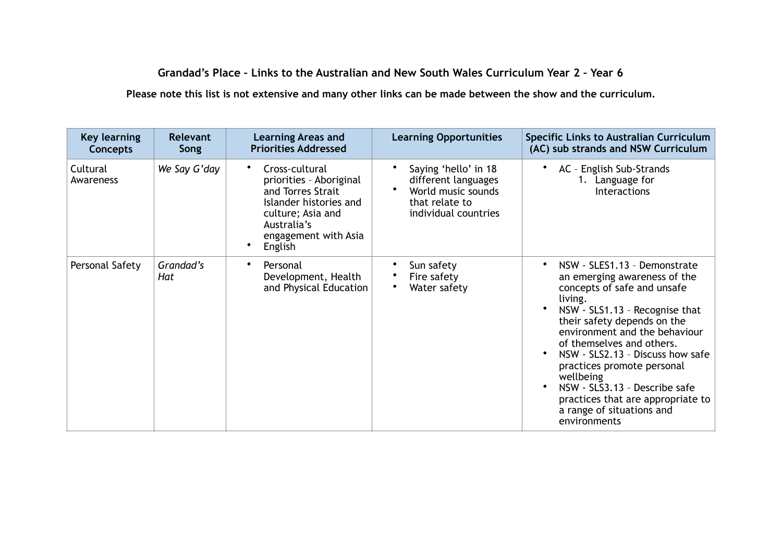## **Grandad's Place – Links to the Australian and New South Wales Curriculum Year 2 – Year 6**

**Please note this list is not extensive and many other links can be made between the show and the curriculum.**

| <b>Key learning</b><br><b>Concepts</b> | <b>Relevant</b><br>Song | <b>Learning Areas and</b><br><b>Priorities Addressed</b>                                                                                                                     | <b>Learning Opportunities</b>                                                                               | <b>Specific Links to Australian Curriculum</b><br>(AC) sub strands and NSW Curriculum                                                                                                                                                                                                                                                                                                                                                                |
|----------------------------------------|-------------------------|------------------------------------------------------------------------------------------------------------------------------------------------------------------------------|-------------------------------------------------------------------------------------------------------------|------------------------------------------------------------------------------------------------------------------------------------------------------------------------------------------------------------------------------------------------------------------------------------------------------------------------------------------------------------------------------------------------------------------------------------------------------|
| Cultural<br>Awareness                  | We Say G'day            | Cross-cultural<br>$\bullet$<br>priorities - Aboriginal<br>and Torres Strait<br>Islander histories and<br>culture; Asia and<br>Australia's<br>engagement with Asia<br>English | Saying 'hello' in 18<br>different languages<br>World music sounds<br>that relate to<br>individual countries | AC - English Sub-Strands<br>1. Language for<br><b>Interactions</b>                                                                                                                                                                                                                                                                                                                                                                                   |
| Personal Safety                        | Grandad's<br>Hat        | Personal<br>Development, Health<br>and Physical Education                                                                                                                    | Sun safety<br>Fire safety<br>Water safety                                                                   | NSW - SLES1.13 - Demonstrate<br>$\bullet$<br>an emerging awareness of the<br>concepts of safe and unsafe<br>living.<br>NSW - SLS1.13 - Recognise that<br>their safety depends on the<br>environment and the behaviour<br>of themselves and others.<br>NSW - SLS2.13 - Discuss how safe<br>practices promote personal<br>wellbeing<br>NSW - SLS3.13 - Describe safe<br>practices that are appropriate to<br>a range of situations and<br>environments |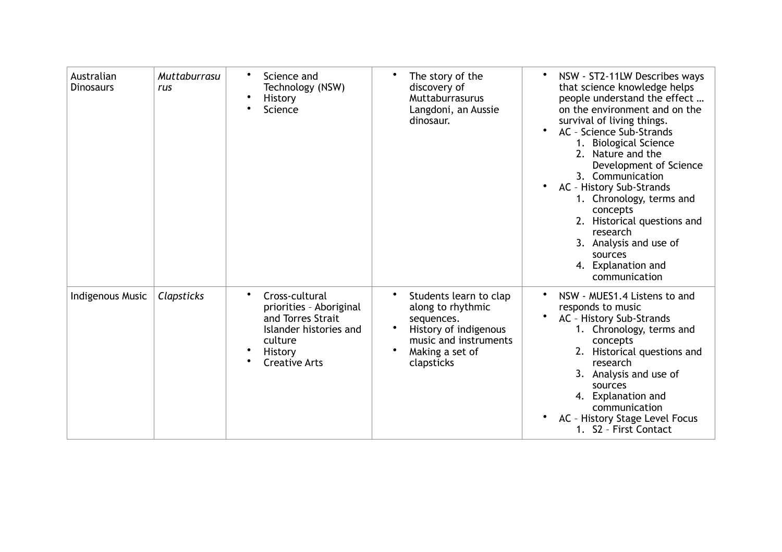| Australian<br><b>Dinosaurs</b> | Muttaburrasu<br>rus | Science and<br>$\bullet$<br>Technology (NSW)<br>$\bullet$<br>History<br>Science                                                             | The story of the<br>discovery of<br>Muttaburrasurus<br>Langdoni, an Aussie<br>dinosaur.                                                      | NSW - ST2-11LW Describes ways<br>that science knowledge helps<br>people understand the effect<br>on the environment and on the<br>survival of living things.                                                                                                                                                                              |
|--------------------------------|---------------------|---------------------------------------------------------------------------------------------------------------------------------------------|----------------------------------------------------------------------------------------------------------------------------------------------|-------------------------------------------------------------------------------------------------------------------------------------------------------------------------------------------------------------------------------------------------------------------------------------------------------------------------------------------|
|                                |                     |                                                                                                                                             |                                                                                                                                              | AC - Science Sub-Strands<br>$\bullet$<br>1. Biological Science<br>2. Nature and the<br>Development of Science<br>3. Communication<br>AC - History Sub-Strands<br>$\bullet$<br>1. Chronology, terms and<br>concepts<br>2. Historical questions and<br>research<br>3. Analysis and use of<br>sources<br>4. Explanation and<br>communication |
| Indigenous Music               | Clapsticks          | ٠<br>Cross-cultural<br>priorities - Aboriginal<br>and Torres Strait<br>Islander histories and<br>culture<br>History<br><b>Creative Arts</b> | Students learn to clap<br>along to rhythmic<br>sequences.<br>History of indigenous<br>music and instruments<br>Making a set of<br>clapsticks | NSW - MUES1.4 Listens to and<br>٠<br>responds to music<br>AC - History Sub-Strands<br>1. Chronology, terms and<br>concepts<br>2. Historical questions and<br>research<br>3. Analysis and use of<br>sources<br>4. Explanation and<br>communication<br>AC - History Stage Level Focus<br>1. S2 - First Contact                              |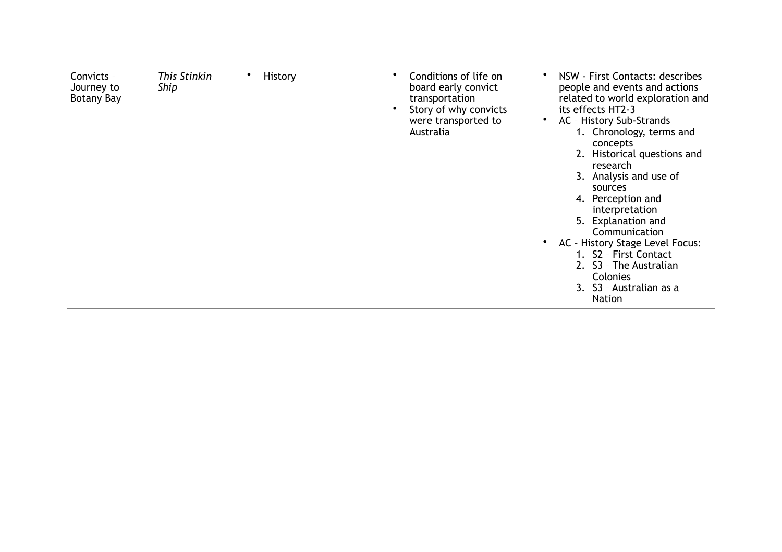| This Stinkin<br>History<br>Convicts -<br>$\bullet$<br>Ship<br>Journey to<br>Botany Bay | Conditions of life on<br>board early convict<br>transportation<br>Story of why convicts<br>were transported to<br>Australia | NSW - First Contacts: describes<br>people and events and actions<br>related to world exploration and<br>its effects HT2-3<br>AC - History Sub-Strands<br>1. Chronology, terms and<br>concepts<br>2. Historical questions and<br>research<br>3. Analysis and use of<br>sources<br>4. Perception and<br>interpretation<br>5. Explanation and<br>Communication<br>AC - History Stage Level Focus:<br>1. S2 - First Contact<br>2. S3 - The Australian<br>Colonies<br>3. S3 - Australian as a<br><b>Nation</b> |
|----------------------------------------------------------------------------------------|-----------------------------------------------------------------------------------------------------------------------------|-----------------------------------------------------------------------------------------------------------------------------------------------------------------------------------------------------------------------------------------------------------------------------------------------------------------------------------------------------------------------------------------------------------------------------------------------------------------------------------------------------------|
|----------------------------------------------------------------------------------------|-----------------------------------------------------------------------------------------------------------------------------|-----------------------------------------------------------------------------------------------------------------------------------------------------------------------------------------------------------------------------------------------------------------------------------------------------------------------------------------------------------------------------------------------------------------------------------------------------------------------------------------------------------|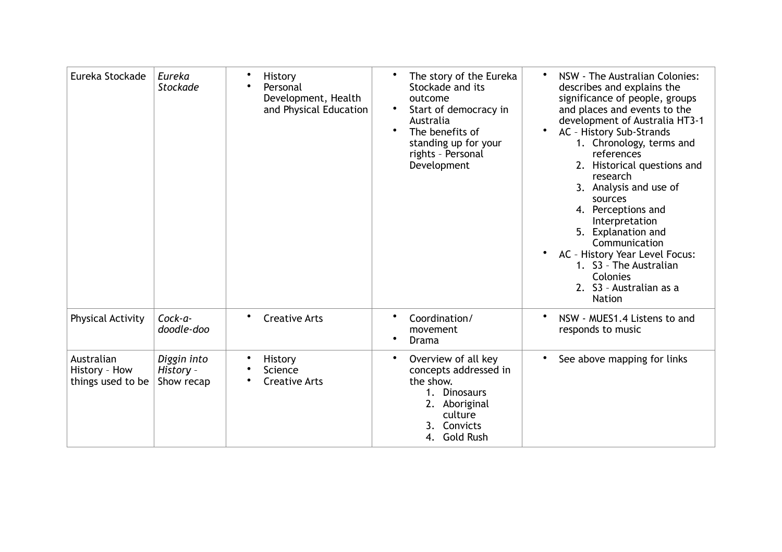| Eureka Stockade                                  | Eureka<br><b>Stockade</b>              | History<br>Personal<br>Development, Health<br>and Physical Education | The story of the Eureka<br>Stockade and its<br>outcome<br>Start of democracy in<br>$\bullet$<br>Australia<br>The benefits of<br>$\bullet$<br>standing up for your<br>rights - Personal<br>Development | NSW - The Australian Colonies:<br>describes and explains the<br>significance of people, groups<br>and places and events to the<br>development of Australia HT3-1<br>AC - History Sub-Strands<br>1. Chronology, terms and<br>references<br>2. Historical questions and<br>research<br>3. Analysis and use of<br>sources<br>4. Perceptions and<br>Interpretation<br>5. Explanation and<br>Communication<br>AC - History Year Level Focus:<br>1. S3 - The Australian<br>Colonies<br>2. S3 - Australian as a<br><b>Nation</b> |
|--------------------------------------------------|----------------------------------------|----------------------------------------------------------------------|-------------------------------------------------------------------------------------------------------------------------------------------------------------------------------------------------------|---------------------------------------------------------------------------------------------------------------------------------------------------------------------------------------------------------------------------------------------------------------------------------------------------------------------------------------------------------------------------------------------------------------------------------------------------------------------------------------------------------------------------|
| Physical Activity                                | $Cock-a-$<br>doodle-doo                | <b>Creative Arts</b>                                                 | Coordination/<br>movement<br>Drama                                                                                                                                                                    | NSW - MUES1.4 Listens to and<br>responds to music                                                                                                                                                                                                                                                                                                                                                                                                                                                                         |
| Australian<br>History - How<br>things used to be | Diggin into<br>History -<br>Show recap | History<br>Science<br><b>Creative Arts</b>                           | Overview of all key<br>$\bullet$<br>concepts addressed in<br>the show.<br>1. Dinosaurs<br>2. Aboriginal<br>culture<br>Convicts<br>3.<br>4. Gold Rush                                                  | See above mapping for links                                                                                                                                                                                                                                                                                                                                                                                                                                                                                               |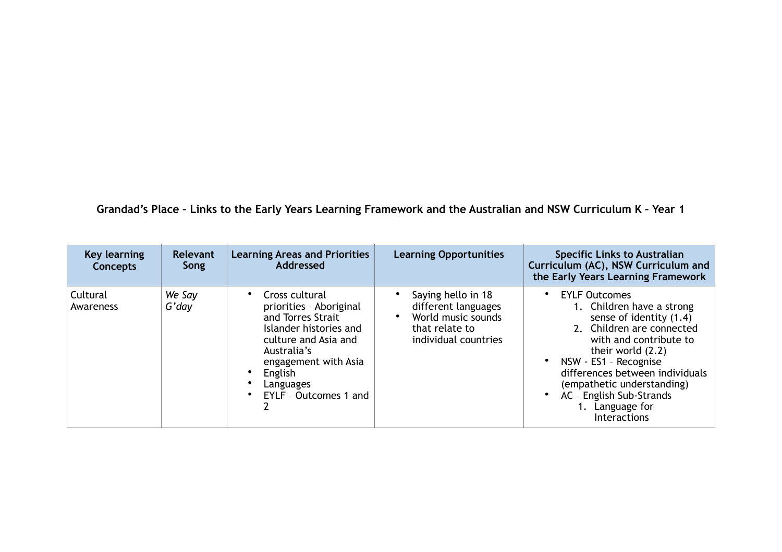**Grandad's Place – Links to the Early Years Learning Framework and the Australian and NSW Curriculum K – Year 1**

| Key learning<br><b>Concepts</b> | Relevant<br>Song | <b>Learning Areas and Priorities</b><br>Addressed                                                                                                                                                        | <b>Learning Opportunities</b>                                                                             | <b>Specific Links to Australian</b><br>Curriculum (AC), NSW Curriculum and<br>the Early Years Learning Framework                                                                                                                                                                                                                            |
|---------------------------------|------------------|----------------------------------------------------------------------------------------------------------------------------------------------------------------------------------------------------------|-----------------------------------------------------------------------------------------------------------|---------------------------------------------------------------------------------------------------------------------------------------------------------------------------------------------------------------------------------------------------------------------------------------------------------------------------------------------|
| Cultural<br>Awareness           | We Say<br>G'day  | Cross cultural<br>priorities - Aboriginal<br>and Torres Strait<br>Islander histories and<br>culture and Asia and<br>Australia's<br>engagement with Asia<br>English<br>Languages<br>EYLF - Outcomes 1 and | Saying hello in 18<br>different languages<br>World music sounds<br>that relate to<br>individual countries | <b>EYLF Outcomes</b><br>$\bullet$<br>1. Children have a strong<br>sense of identity (1.4)<br>2. Children are connected<br>with and contribute to<br>their world (2.2)<br>NSW - ES1 - Recognise<br>$\bullet$<br>differences between individuals<br>(empathetic understanding)<br>AC - English Sub-Strands<br>1. Language for<br>Interactions |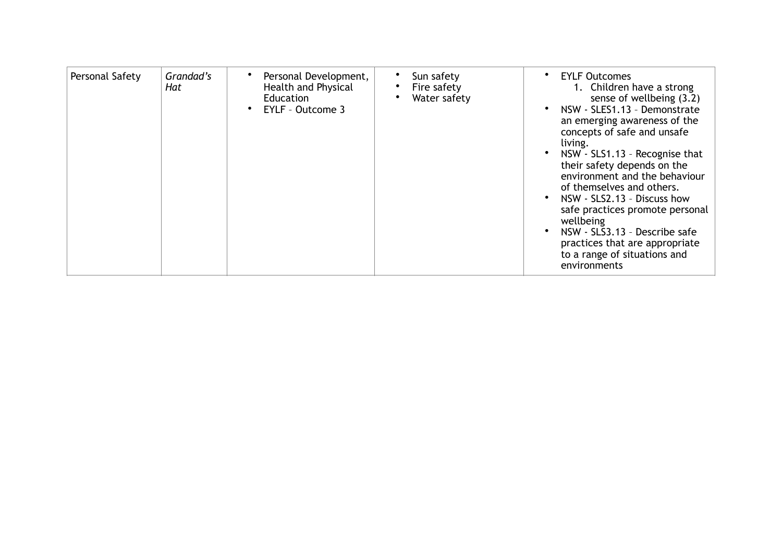| Personal Safety | Grandad's<br>Hat | Personal Development,<br>Health and Physical<br>Education<br>EYLF - Outcome 3 | Sun safety<br>Fire safety<br>Water safety | <b>EYLF Outcomes</b><br>$\bullet$<br>1. Children have a strong<br>sense of wellbeing (3.2)<br>NSW - SLES1.13 - Demonstrate<br>an emerging awareness of the<br>concepts of safe and unsafe<br>living.<br>NSW - SLS1.13 - Recognise that<br>their safety depends on the<br>environment and the behaviour<br>of themselves and others.<br>NSW - SLS2.13 - Discuss how<br>safe practices promote personal<br>wellbeing<br>NSW - SLS3.13 - Describe safe<br>practices that are appropriate<br>to a range of situations and<br>environments |
|-----------------|------------------|-------------------------------------------------------------------------------|-------------------------------------------|---------------------------------------------------------------------------------------------------------------------------------------------------------------------------------------------------------------------------------------------------------------------------------------------------------------------------------------------------------------------------------------------------------------------------------------------------------------------------------------------------------------------------------------|
|-----------------|------------------|-------------------------------------------------------------------------------|-------------------------------------------|---------------------------------------------------------------------------------------------------------------------------------------------------------------------------------------------------------------------------------------------------------------------------------------------------------------------------------------------------------------------------------------------------------------------------------------------------------------------------------------------------------------------------------------|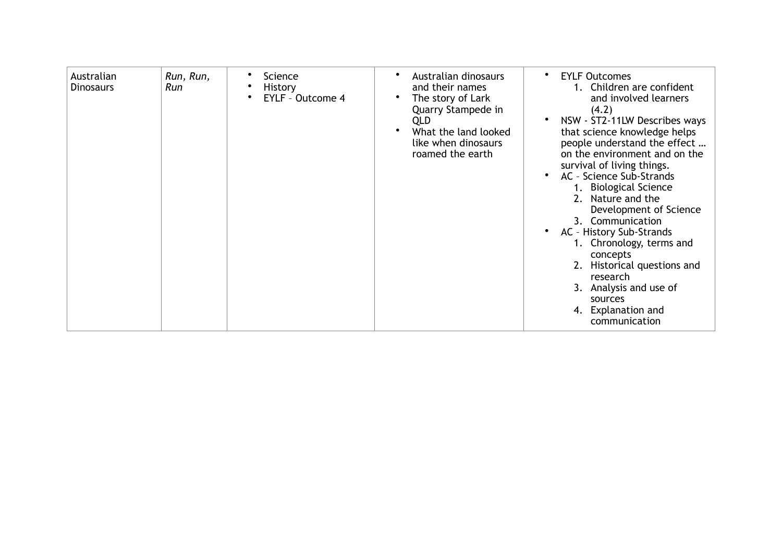| Australian<br><b>Dinosaurs</b> | Run, Run,<br>Run | Science<br><b>History</b><br><b>EYLF - Outcome 4</b> | Australian dinosaurs<br>and their names<br>The story of Lark<br>Quarry Stampede in<br><b>QLD</b><br>What the land looked<br>like when dinosaurs<br>roamed the earth | <b>EYLF Outcomes</b><br>$\bullet$<br>1. Children are confident<br>and involved learners<br>(4.2)<br>NSW - ST2-11LW Describes ways<br>that science knowledge helps<br>people understand the effect<br>on the environment and on the<br>survival of living things.<br>AC - Science Sub-Strands<br>1. Biological Science<br>2. Nature and the<br>Development of Science<br>3. Communication<br>AC - History Sub-Strands<br>1. Chronology, terms and<br>concepts<br>2. Historical questions and<br>research<br>3. Analysis and use of<br>sources<br>4. Explanation and<br>communication |
|--------------------------------|------------------|------------------------------------------------------|---------------------------------------------------------------------------------------------------------------------------------------------------------------------|-------------------------------------------------------------------------------------------------------------------------------------------------------------------------------------------------------------------------------------------------------------------------------------------------------------------------------------------------------------------------------------------------------------------------------------------------------------------------------------------------------------------------------------------------------------------------------------|
|--------------------------------|------------------|------------------------------------------------------|---------------------------------------------------------------------------------------------------------------------------------------------------------------------|-------------------------------------------------------------------------------------------------------------------------------------------------------------------------------------------------------------------------------------------------------------------------------------------------------------------------------------------------------------------------------------------------------------------------------------------------------------------------------------------------------------------------------------------------------------------------------------|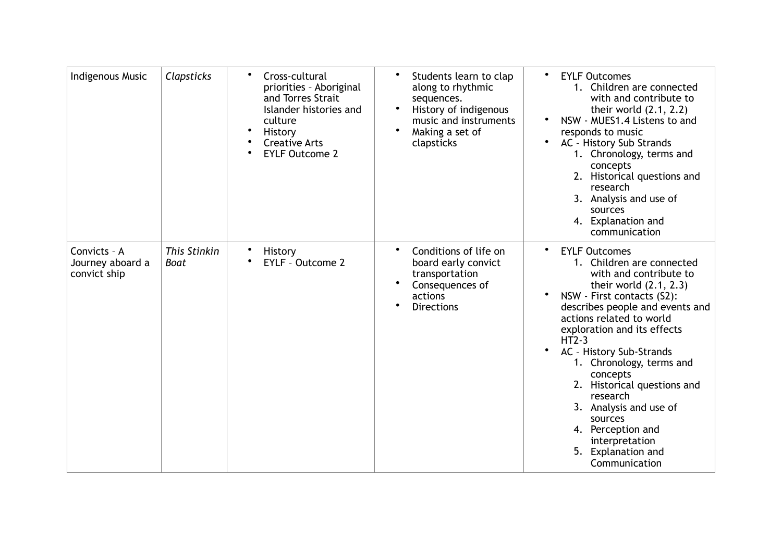| <b>Indigenous Music</b>                          | Clapsticks           | Cross-cultural<br>$\bullet$<br>priorities - Aboriginal<br>and Torres Strait<br>Islander histories and<br>culture<br>History<br><b>Creative Arts</b><br><b>EYLF Outcome 2</b> | Students learn to clap<br>$\bullet$<br>along to rhythmic<br>sequences.<br>History of indigenous<br>music and instruments<br>Making a set of<br>clapsticks | <b>EYLF Outcomes</b><br>$\bullet$<br>1. Children are connected<br>with and contribute to<br>their world $(2.1, 2.2)$<br>NSW - MUES1.4 Listens to and<br>responds to music<br>AC - History Sub Strands<br>1. Chronology, terms and<br>concepts<br>2. Historical questions and<br>research<br>3. Analysis and use of<br>sources<br>4. Explanation and<br>communication                                                                                                                |
|--------------------------------------------------|----------------------|------------------------------------------------------------------------------------------------------------------------------------------------------------------------------|-----------------------------------------------------------------------------------------------------------------------------------------------------------|-------------------------------------------------------------------------------------------------------------------------------------------------------------------------------------------------------------------------------------------------------------------------------------------------------------------------------------------------------------------------------------------------------------------------------------------------------------------------------------|
| Convicts - A<br>Journey aboard a<br>convict ship | This Stinkin<br>Boat | <b>History</b><br><b>EYLF - Outcome 2</b>                                                                                                                                    | Conditions of life on<br>board early convict<br>transportation<br>Consequences of<br>actions<br><b>Directions</b>                                         | <b>EYLF Outcomes</b><br>1. Children are connected<br>with and contribute to<br>their world $(2.1, 2.3)$<br>NSW - First contacts (S2):<br>describes people and events and<br>actions related to world<br>exploration and its effects<br>$HT2-3$<br>AC - History Sub-Strands<br>1. Chronology, terms and<br>concepts<br>2. Historical questions and<br>research<br>3. Analysis and use of<br>sources<br>4. Perception and<br>interpretation<br>5.<br>Explanation and<br>Communication |